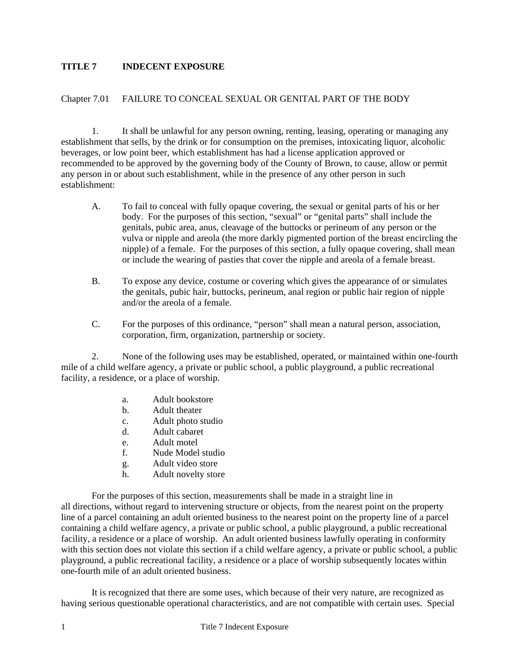## **TITLE 7 INDECENT EXPOSURE**

## Chapter 7.01 FAILURE TO CONCEAL SEXUAL OR GENITAL PART OF THE BODY

 1. It shall be unlawful for any person owning, renting, leasing, operating or managing any establishment that sells, by the drink or for consumption on the premises, intoxicating liquor, alcoholic beverages, or low point beer, which establishment has had a license application approved or recommended to be approved by the governing body of the County of Brown, to cause, allow or permit any person in or about such establishment, while in the presence of any other person in such establishment:

- A. To fail to conceal with fully opaque covering, the sexual or genital parts of his or her body. For the purposes of this section, "sexual" or "genital parts" shall include the genitals, pubic area, anus, cleavage of the buttocks or perineum of any person or the vulva or nipple and areola (the more darkly pigmented portion of the breast encircling the nipple) of a female. For the purposes of this section, a fully opaque covering, shall mean or include the wearing of pasties that cover the nipple and areola of a female breast.
- B. To expose any device, costume or covering which gives the appearance of or simulates the genitals, pubic hair, buttocks, perineum, anal region or public hair region of nipple and/or the areola of a female.
- C. For the purposes of this ordinance, "person" shall mean a natural person, association, corporation, firm, organization, partnership or society.

2. None of the following uses may be established, operated, or maintained within one-fourth mile of a child welfare agency, a private or public school, a public playground, a public recreational facility, a residence, or a place of worship.

- a. Adult bookstore
- b. Adult theater
- c. Adult photo studio
- d. Adult cabaret
- e. Adult motel
- f. Nude Model studio
- g. Adult video store
- h. Adult novelty store

For the purposes of this section, measurements shall be made in a straight line in all directions, without regard to intervening structure or objects, from the nearest point on the property line of a parcel containing an adult oriented business to the nearest point on the property line of a parcel containing a child welfare agency, a private or public school, a public playground, a public recreational facility, a residence or a place of worship. An adult oriented business lawfully operating in conformity with this section does not violate this section if a child welfare agency, a private or public school, a public playground, a public recreational facility, a residence or a place of worship subsequently locates within one-fourth mile of an adult oriented business.

It is recognized that there are some uses, which because of their very nature, are recognized as having serious questionable operational characteristics, and are not compatible with certain uses. Special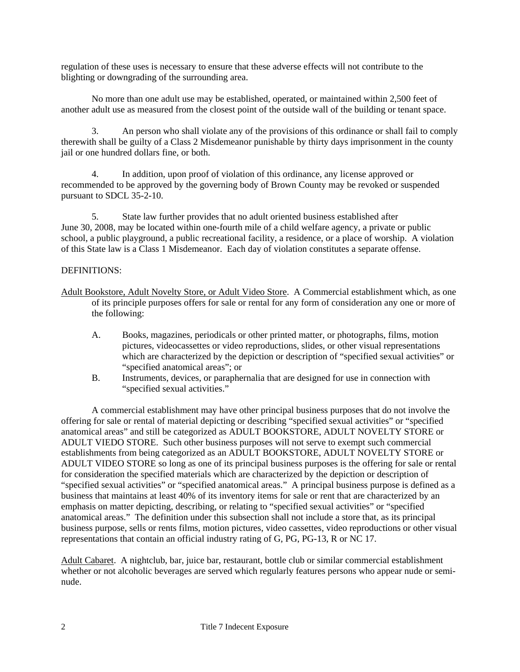regulation of these uses is necessary to ensure that these adverse effects will not contribute to the blighting or downgrading of the surrounding area.

 No more than one adult use may be established, operated, or maintained within 2,500 feet of another adult use as measured from the closest point of the outside wall of the building or tenant space.

3. An person who shall violate any of the provisions of this ordinance or shall fail to comply therewith shall be guilty of a Class 2 Misdemeanor punishable by thirty days imprisonment in the county jail or one hundred dollars fine, or both.

4. In addition, upon proof of violation of this ordinance, any license approved or recommended to be approved by the governing body of Brown County may be revoked or suspended pursuant to SDCL 35-2-10.

5. State law further provides that no adult oriented business established after June 30, 2008, may be located within one-fourth mile of a child welfare agency, a private or public school, a public playground, a public recreational facility, a residence, or a place of worship. A violation of this State law is a Class 1 Misdemeanor. Each day of violation constitutes a separate offense.

## DEFINITIONS:

- Adult Bookstore, Adult Novelty Store, or Adult Video Store. A Commercial establishment which, as one of its principle purposes offers for sale or rental for any form of consideration any one or more of the following:
	- A. Books, magazines, periodicals or other printed matter, or photographs, films, motion pictures, videocassettes or video reproductions, slides, or other visual representations which are characterized by the depiction or description of "specified sexual activities" or "specified anatomical areas"; or
	- B. Instruments, devices, or paraphernalia that are designed for use in connection with "specified sexual activities."

 A commercial establishment may have other principal business purposes that do not involve the offering for sale or rental of material depicting or describing "specified sexual activities" or "specified anatomical areas" and still be categorized as ADULT BOOKSTORE, ADULT NOVELTY STORE or ADULT VIEDO STORE. Such other business purposes will not serve to exempt such commercial establishments from being categorized as an ADULT BOOKSTORE, ADULT NOVELTY STORE or ADULT VIDEO STORE so long as one of its principal business purposes is the offering for sale or rental for consideration the specified materials which are characterized by the depiction or description of "specified sexual activities" or "specified anatomical areas." A principal business purpose is defined as a business that maintains at least 40% of its inventory items for sale or rent that are characterized by an emphasis on matter depicting, describing, or relating to "specified sexual activities" or "specified anatomical areas." The definition under this subsection shall not include a store that, as its principal business purpose, sells or rents films, motion pictures, video cassettes, video reproductions or other visual representations that contain an official industry rating of G, PG, PG-13, R or NC 17.

Adult Cabaret. A nightclub, bar, juice bar, restaurant, bottle club or similar commercial establishment whether or not alcoholic beverages are served which regularly features persons who appear nude or seminude.